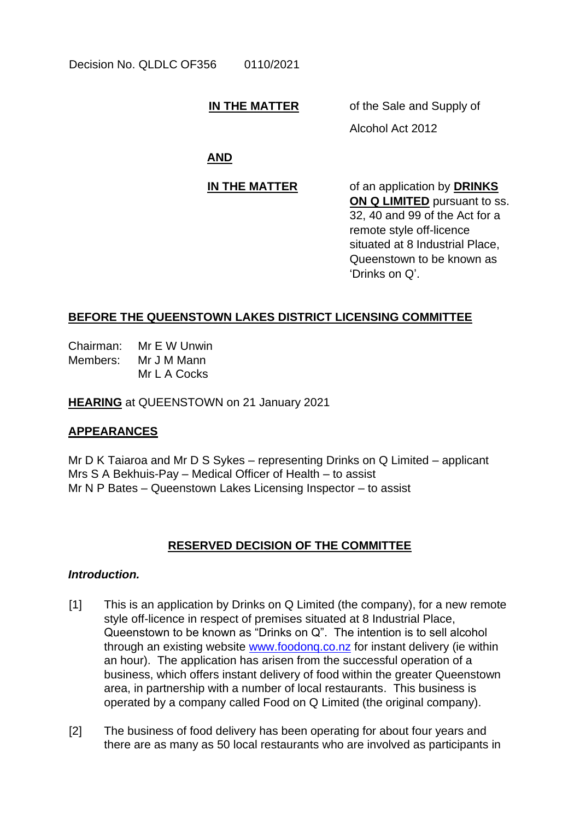# **IN THE MATTER** of the Sale and Supply of

Alcohol Act 2012

**AND**

**IN THE MATTER** of an application by **DRINKS ON Q LIMITED** pursuant to ss. 32, 40 and 99 of the Act for a remote style off-licence situated at 8 Industrial Place, Queenstown to be known as 'Drinks on Q'.

# **BEFORE THE QUEENSTOWN LAKES DISTRICT LICENSING COMMITTEE**

Chairman: Mr E W Unwin Members: Mr J M Mann Mr L A Cocks

**HEARING** at QUEENSTOWN on 21 January 2021

# **APPEARANCES**

Mr D K Taiaroa and Mr D S Sykes – representing Drinks on Q Limited – applicant Mrs S A Bekhuis-Pay – Medical Officer of Health – to assist Mr N P Bates – Queenstown Lakes Licensing Inspector – to assist

## **RESERVED DECISION OF THE COMMITTEE**

## *Introduction.*

- [1] This is an application by Drinks on Q Limited (the company), for a new remote style off-licence in respect of premises situated at 8 Industrial Place, Queenstown to be known as "Drinks on Q". The intention is to sell alcohol through an existing website [www.foodonq.co.nz](http://www.foodonq.co.nz/) for instant delivery (ie within an hour). The application has arisen from the successful operation of a business, which offers instant delivery of food within the greater Queenstown area, in partnership with a number of local restaurants. This business is operated by a company called Food on Q Limited (the original company).
- [2] The business of food delivery has been operating for about four years and there are as many as 50 local restaurants who are involved as participants in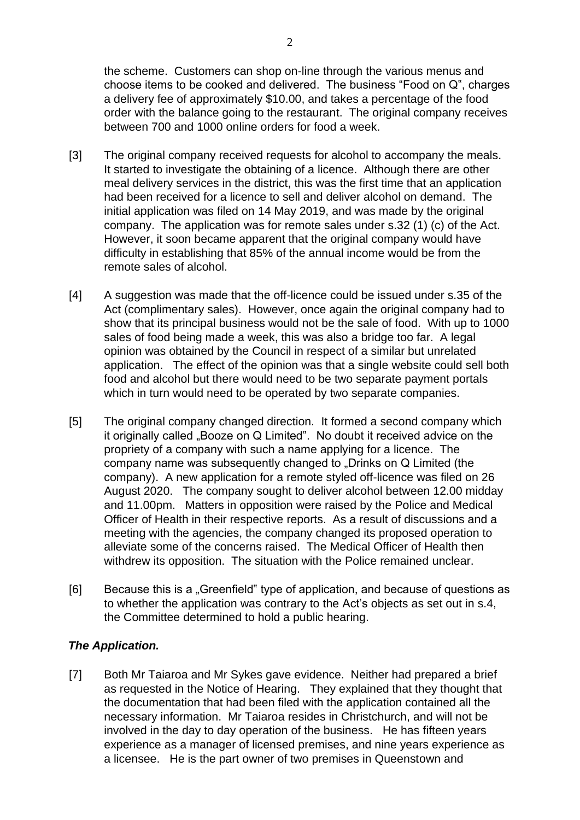the scheme. Customers can shop on-line through the various menus and choose items to be cooked and delivered. The business "Food on Q", charges a delivery fee of approximately \$10.00, and takes a percentage of the food order with the balance going to the restaurant. The original company receives between 700 and 1000 online orders for food a week.

- [3] The original company received requests for alcohol to accompany the meals. It started to investigate the obtaining of a licence. Although there are other meal delivery services in the district, this was the first time that an application had been received for a licence to sell and deliver alcohol on demand. The initial application was filed on 14 May 2019, and was made by the original company. The application was for remote sales under s.32 (1) (c) of the Act. However, it soon became apparent that the original company would have difficulty in establishing that 85% of the annual income would be from the remote sales of alcohol.
- [4] A suggestion was made that the off-licence could be issued under s.35 of the Act (complimentary sales). However, once again the original company had to show that its principal business would not be the sale of food. With up to 1000 sales of food being made a week, this was also a bridge too far. A legal opinion was obtained by the Council in respect of a similar but unrelated application. The effect of the opinion was that a single website could sell both food and alcohol but there would need to be two separate payment portals which in turn would need to be operated by two separate companies.
- [5] The original company changed direction. It formed a second company which it originally called "Booze on Q Limited". No doubt it received advice on the propriety of a company with such a name applying for a licence. The company name was subsequently changed to "Drinks on Q Limited (the company). A new application for a remote styled off-licence was filed on 26 August 2020. The company sought to deliver alcohol between 12.00 midday and 11.00pm. Matters in opposition were raised by the Police and Medical Officer of Health in their respective reports. As a result of discussions and a meeting with the agencies, the company changed its proposed operation to alleviate some of the concerns raised. The Medical Officer of Health then withdrew its opposition. The situation with the Police remained unclear.
- [6] Because this is a "Greenfield" type of application, and because of questions as to whether the application was contrary to the Act's objects as set out in s.4, the Committee determined to hold a public hearing.

## *The Application.*

[7] Both Mr Taiaroa and Mr Sykes gave evidence. Neither had prepared a brief as requested in the Notice of Hearing. They explained that they thought that the documentation that had been filed with the application contained all the necessary information. Mr Taiaroa resides in Christchurch, and will not be involved in the day to day operation of the business. He has fifteen years experience as a manager of licensed premises, and nine years experience as a licensee. He is the part owner of two premises in Queenstown and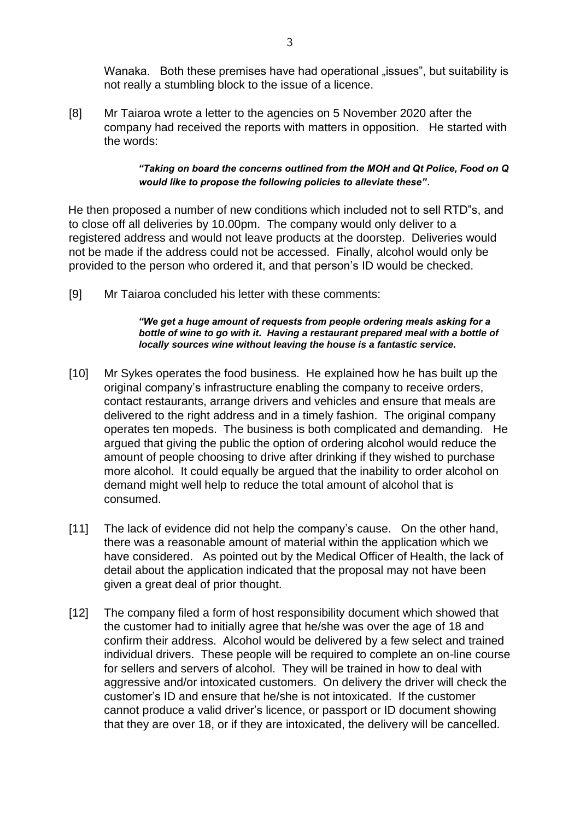Wanaka. Both these premises have had operational "issues", but suitability is not really a stumbling block to the issue of a licence.

[8] Mr Taiaroa wrote a letter to the agencies on 5 November 2020 after the company had received the reports with matters in opposition. He started with the words:

### *"Taking on board the concerns outlined from the MOH and Qt Police, Food on Q would like to propose the following policies to alleviate these"*.

He then proposed a number of new conditions which included not to sell RTD"s, and to close off all deliveries by 10.00pm. The company would only deliver to a registered address and would not leave products at the doorstep. Deliveries would not be made if the address could not be accessed. Finally, alcohol would only be provided to the person who ordered it, and that person's ID would be checked.

[9] Mr Taiaroa concluded his letter with these comments:

#### *"We get a huge amount of requests from people ordering meals asking for a*  bottle of wine to go with it. Having a restaurant prepared meal with a bottle of *locally sources wine without leaving the house is a fantastic service.*

- [10] Mr Sykes operates the food business. He explained how he has built up the original company's infrastructure enabling the company to receive orders, contact restaurants, arrange drivers and vehicles and ensure that meals are delivered to the right address and in a timely fashion. The original company operates ten mopeds. The business is both complicated and demanding. He argued that giving the public the option of ordering alcohol would reduce the amount of people choosing to drive after drinking if they wished to purchase more alcohol. It could equally be argued that the inability to order alcohol on demand might well help to reduce the total amount of alcohol that is consumed.
- [11] The lack of evidence did not help the company's cause. On the other hand, there was a reasonable amount of material within the application which we have considered. As pointed out by the Medical Officer of Health, the lack of detail about the application indicated that the proposal may not have been given a great deal of prior thought.
- [12] The company filed a form of host responsibility document which showed that the customer had to initially agree that he/she was over the age of 18 and confirm their address. Alcohol would be delivered by a few select and trained individual drivers. These people will be required to complete an on-line course for sellers and servers of alcohol. They will be trained in how to deal with aggressive and/or intoxicated customers. On delivery the driver will check the customer's ID and ensure that he/she is not intoxicated. If the customer cannot produce a valid driver's licence, or passport or ID document showing that they are over 18, or if they are intoxicated, the delivery will be cancelled.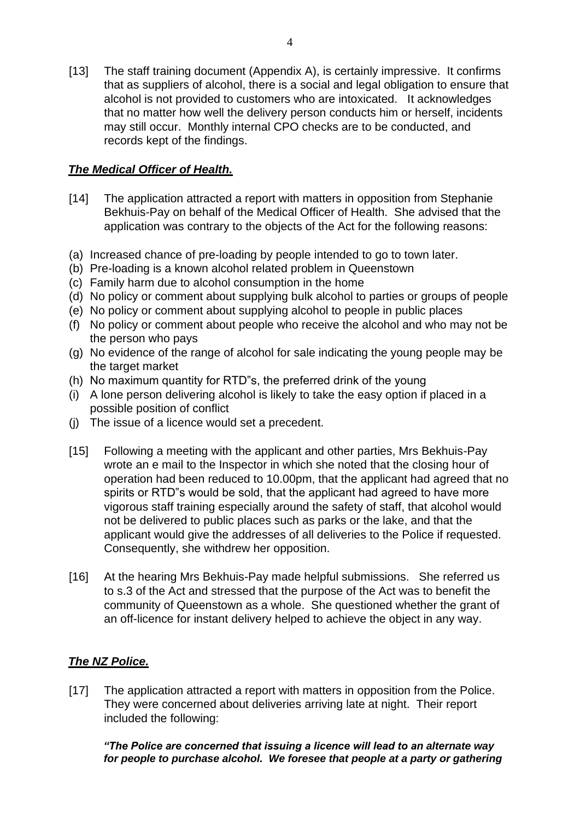[13] The staff training document (Appendix A), is certainly impressive. It confirms that as suppliers of alcohol, there is a social and legal obligation to ensure that alcohol is not provided to customers who are intoxicated. It acknowledges that no matter how well the delivery person conducts him or herself, incidents may still occur. Monthly internal CPO checks are to be conducted, and records kept of the findings.

# *The Medical Officer of Health.*

- [14] The application attracted a report with matters in opposition from Stephanie Bekhuis-Pay on behalf of the Medical Officer of Health. She advised that the application was contrary to the objects of the Act for the following reasons:
- (a) Increased chance of pre-loading by people intended to go to town later.
- (b) Pre-loading is a known alcohol related problem in Queenstown
- (c) Family harm due to alcohol consumption in the home
- (d) No policy or comment about supplying bulk alcohol to parties or groups of people
- (e) No policy or comment about supplying alcohol to people in public places
- (f) No policy or comment about people who receive the alcohol and who may not be the person who pays
- (g) No evidence of the range of alcohol for sale indicating the young people may be the target market
- (h) No maximum quantity for RTD"s, the preferred drink of the young
- (i) A lone person delivering alcohol is likely to take the easy option if placed in a possible position of conflict
- (j) The issue of a licence would set a precedent.
- [15] Following a meeting with the applicant and other parties, Mrs Bekhuis-Pay wrote an e mail to the Inspector in which she noted that the closing hour of operation had been reduced to 10.00pm, that the applicant had agreed that no spirits or RTD"s would be sold, that the applicant had agreed to have more vigorous staff training especially around the safety of staff, that alcohol would not be delivered to public places such as parks or the lake, and that the applicant would give the addresses of all deliveries to the Police if requested. Consequently, she withdrew her opposition.
- [16] At the hearing Mrs Bekhuis-Pay made helpful submissions. She referred us to s.3 of the Act and stressed that the purpose of the Act was to benefit the community of Queenstown as a whole. She questioned whether the grant of an off-licence for instant delivery helped to achieve the object in any way.

# *The NZ Police.*

[17] The application attracted a report with matters in opposition from the Police. They were concerned about deliveries arriving late at night. Their report included the following:

*"The Police are concerned that issuing a licence will lead to an alternate way*  for people to purchase alcohol. We foresee that people at a party or gathering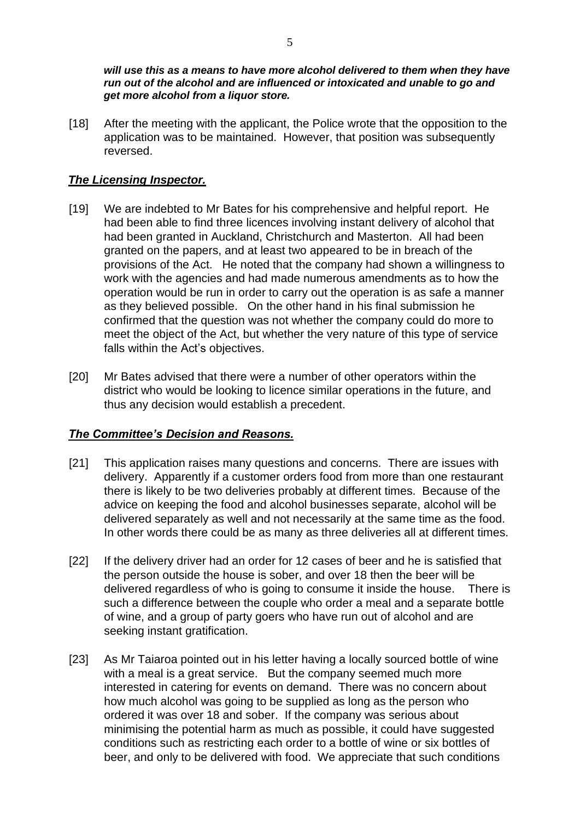*will use this as a means to have more alcohol delivered to them when they have run out of the alcohol and are influenced or intoxicated and unable to go and get more alcohol from a liquor store.*

[18] After the meeting with the applicant, the Police wrote that the opposition to the application was to be maintained. However, that position was subsequently reversed.

## *The Licensing Inspector.*

- [19] We are indebted to Mr Bates for his comprehensive and helpful report. He had been able to find three licences involving instant delivery of alcohol that had been granted in Auckland, Christchurch and Masterton. All had been granted on the papers, and at least two appeared to be in breach of the provisions of the Act. He noted that the company had shown a willingness to work with the agencies and had made numerous amendments as to how the operation would be run in order to carry out the operation is as safe a manner as they believed possible. On the other hand in his final submission he confirmed that the question was not whether the company could do more to meet the object of the Act, but whether the very nature of this type of service falls within the Act's objectives.
- [20] Mr Bates advised that there were a number of other operators within the district who would be looking to licence similar operations in the future, and thus any decision would establish a precedent.

## *The Committee's Decision and Reasons.*

- [21] This application raises many questions and concerns. There are issues with delivery. Apparently if a customer orders food from more than one restaurant there is likely to be two deliveries probably at different times. Because of the advice on keeping the food and alcohol businesses separate, alcohol will be delivered separately as well and not necessarily at the same time as the food. In other words there could be as many as three deliveries all at different times.
- [22] If the delivery driver had an order for 12 cases of beer and he is satisfied that the person outside the house is sober, and over 18 then the beer will be delivered regardless of who is going to consume it inside the house.There is such a difference between the couple who order a meal and a separate bottle of wine, and a group of party goers who have run out of alcohol and are seeking instant gratification.
- [23] As Mr Taiaroa pointed out in his letter having a locally sourced bottle of wine with a meal is a great service. But the company seemed much more interested in catering for events on demand. There was no concern about how much alcohol was going to be supplied as long as the person who ordered it was over 18 and sober. If the company was serious about minimising the potential harm as much as possible, it could have suggested conditions such as restricting each order to a bottle of wine or six bottles of beer, and only to be delivered with food. We appreciate that such conditions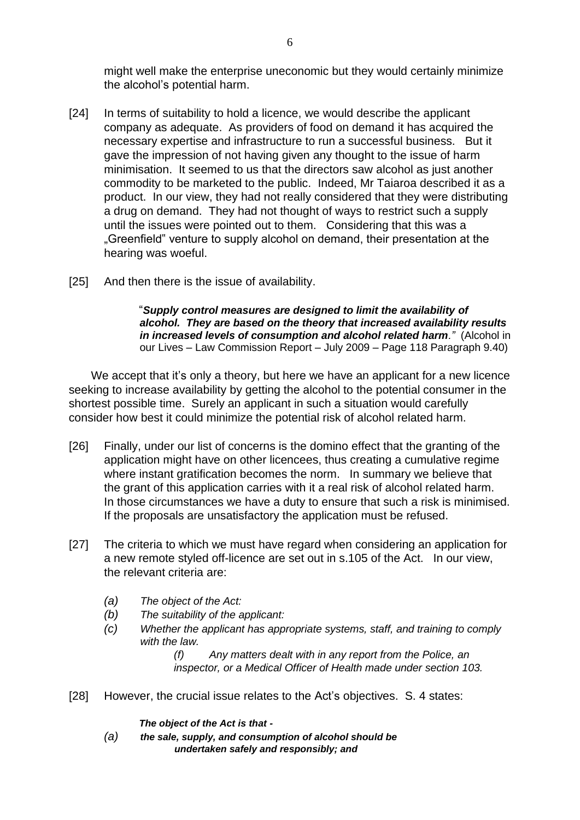might well make the enterprise uneconomic but they would certainly minimize the alcohol's potential harm.

- [24] In terms of suitability to hold a licence, we would describe the applicant company as adequate. As providers of food on demand it has acquired the necessary expertise and infrastructure to run a successful business. But it gave the impression of not having given any thought to the issue of harm minimisation. It seemed to us that the directors saw alcohol as just another commodity to be marketed to the public. Indeed, Mr Taiaroa described it as a product. In our view, they had not really considered that they were distributing a drug on demand. They had not thought of ways to restrict such a supply until the issues were pointed out to them. Considering that this was a "Greenfield" venture to supply alcohol on demand, their presentation at the hearing was woeful.
- [25] And then there is the issue of availability.

"*Supply control measures are designed to limit the availability of alcohol. They are based on the theory that increased availability results in increased levels of consumption and alcohol related harm."* (Alcohol in our Lives – Law Commission Report – July 2009 – Page 118 Paragraph 9.40)

We accept that it's only a theory, but here we have an applicant for a new licence seeking to increase availability by getting the alcohol to the potential consumer in the shortest possible time. Surely an applicant in such a situation would carefully consider how best it could minimize the potential risk of alcohol related harm.

- [26] Finally, under our list of concerns is the domino effect that the granting of the application might have on other licencees, thus creating a cumulative regime where instant gratification becomes the norm. In summary we believe that the grant of this application carries with it a real risk of alcohol related harm. In those circumstances we have a duty to ensure that such a risk is minimised. If the proposals are unsatisfactory the application must be refused.
- [27] The criteria to which we must have regard when considering an application for a new remote styled off-licence are set out in s.105 of the Act. In our view, the relevant criteria are:
	- *(a) The object of the Act:*
	- *(b) The suitability of the applicant:*
	- *(c) Whether the applicant has appropriate systems, staff, and training to comply with the law.*

*(f) Any matters dealt with in any report from the Police, an inspector, or a Medical Officer of Health made under section 103.* 

[28] However, the crucial issue relates to the Act's objectives. S. 4 states:

*The object of the Act is that -* 

*(a) the sale, supply, and consumption of alcohol should be undertaken safely and responsibly; and*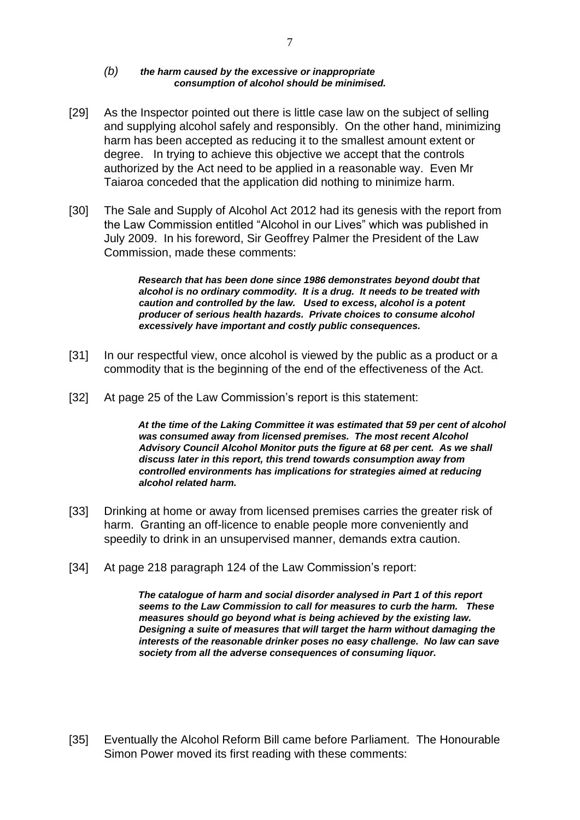#### *(b) the harm caused by the excessive or inappropriate consumption of alcohol should be minimised.*

- [29] As the Inspector pointed out there is little case law on the subject of selling and supplying alcohol safely and responsibly. On the other hand, minimizing harm has been accepted as reducing it to the smallest amount extent or degree. In trying to achieve this objective we accept that the controls authorized by the Act need to be applied in a reasonable way. Even Mr Taiaroa conceded that the application did nothing to minimize harm.
- [30] The Sale and Supply of Alcohol Act 2012 had its genesis with the report from the Law Commission entitled "Alcohol in our Lives" which was published in July 2009. In his foreword, Sir Geoffrey Palmer the President of the Law Commission, made these comments:

*Research that has been done since 1986 demonstrates beyond doubt that alcohol is no ordinary commodity. It is a drug. It needs to be treated with caution and controlled by the law. Used to excess, alcohol is a potent producer of serious health hazards. Private choices to consume alcohol excessively have important and costly public consequences.* 

- [31] In our respectful view, once alcohol is viewed by the public as a product or a commodity that is the beginning of the end of the effectiveness of the Act.
- [32] At page 25 of the Law Commission's report is this statement:

*At the time of the Laking Committee it was estimated that 59 per cent of alcohol was consumed away from licensed premises. The most recent Alcohol Advisory Council Alcohol Monitor puts the figure at 68 per cent. As we shall discuss later in this report, this trend towards consumption away from controlled environments has implications for strategies aimed at reducing alcohol related harm.* 

- [33] Drinking at home or away from licensed premises carries the greater risk of harm. Granting an off-licence to enable people more conveniently and speedily to drink in an unsupervised manner, demands extra caution.
- [34] At page 218 paragraph 124 of the Law Commission's report:

*The catalogue of harm and social disorder analysed in Part 1 of this report seems to the Law Commission to call for measures to curb the harm. These measures should go beyond what is being achieved by the existing law. Designing a suite of measures that will target the harm without damaging the interests of the reasonable drinker poses no easy challenge. No law can save society from all the adverse consequences of consuming liquor.* 

[35] Eventually the Alcohol Reform Bill came before Parliament. The Honourable Simon Power moved its first reading with these comments: